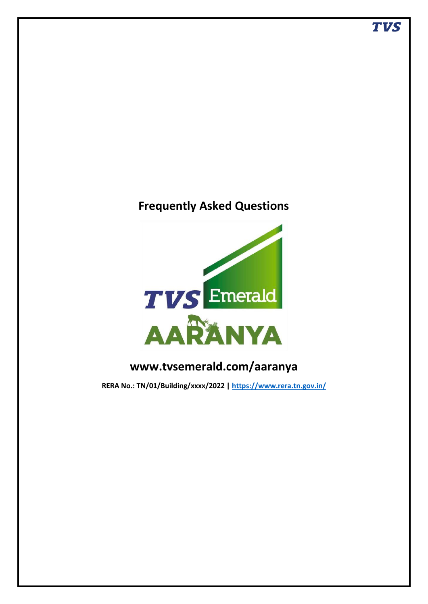# **Frequently Asked Questions**



# **www.tvsemerald.com/aaranya**

**RERA No.: TN/01/Building/xxxx/2022 |<https://www.rera.tn.gov.in/>**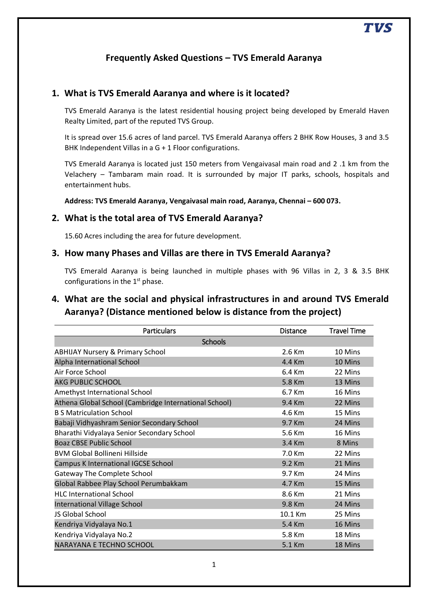# **Frequently Asked Questions – TVS Emerald Aaranya**

#### **1. What is TVS Emerald Aaranya and where is it located?**

TVS Emerald Aaranya is the latest residential housing project being developed by Emerald Haven Realty Limited, part of the reputed TVS Group.

It is spread over 15.6 acres of land parcel. TVS Emerald Aaranya offers 2 BHK Row Houses, 3 and 3.5 BHK Independent Villas in a G + 1 Floor configurations.

TVS Emerald Aaranya is located just 150 meters from Vengaivasal main road and 2 .1 km from the Velachery – Tambaram main road. It is surrounded by major IT parks, schools, hospitals and entertainment hubs.

**Address: TVS Emerald Aaranya, Vengaivasal main road, Aaranya, Chennai – 600 073.** 

#### **2. What is the total area of TVS Emerald Aaranya?**

15.60 Acres including the area for future development.

#### **3. How many Phases and Villas are there in TVS Emerald Aaranya?**

TVS Emerald Aaranya is being launched in multiple phases with 96 Villas in 2, 3 & 3.5 BHK configurations in the  $1<sup>st</sup>$  phase.

## **4. What are the social and physical infrastructures in and around TVS Emerald Aaranya? (Distance mentioned below is distance from the project)**

| <b>Particulars</b>                                    | <b>Distance</b> | <b>Travel Time</b> |  |  |
|-------------------------------------------------------|-----------------|--------------------|--|--|
| <b>Schools</b>                                        |                 |                    |  |  |
| <b>ABHIJAY Nursery &amp; Primary School</b>           | $2.6$ Km        | 10 Mins            |  |  |
| Alpha International School                            | 4.4 Km          | 10 Mins            |  |  |
| Air Force School                                      | 6.4 Km          | 22 Mins            |  |  |
| <b>AKG PUBLIC SCHOOL</b>                              | 5.8 Km          | 13 Mins            |  |  |
| Amethyst International School                         | 6.7 Km          | 16 Mins            |  |  |
| Athena Global School (Cambridge International School) | 9.4 Km          | 22 Mins            |  |  |
| <b>B.S. Matriculation School</b>                      | 4.6 Km          | 15 Mins            |  |  |
| Babaji Vidhyashram Senior Secondary School            | 9.7 Km          | 24 Mins            |  |  |
| Bharathi Vidyalaya Senior Secondary School            | 5.6 Km          | 16 Mins            |  |  |
| <b>Boaz CBSE Public School</b>                        | 3.4 Km          | 8 Mins             |  |  |
| <b>BVM Global Bollineni Hillside</b>                  | $7.0$ Km        | 22 Mins            |  |  |
| Campus K International IGCSE School                   | 9.2 Km          | 21 Mins            |  |  |
| <b>Gateway The Complete School</b>                    | 9.7 Km          | 24 Mins            |  |  |
| Global Rabbee Play School Perumbakkam                 | 4.7 Km          | 15 Mins            |  |  |
| <b>HLC International School</b>                       | 8.6 Km          | 21 Mins            |  |  |
| International Village School                          | 9.8 Km          | 24 Mins            |  |  |
| JS Global School                                      | 10.1 Km         | 25 Mins            |  |  |
| Kendriya Vidyalaya No.1                               | 5.4 Km          | 16 Mins            |  |  |
| Kendriya Vidyalaya No.2                               | 5.8 Km          | 18 Mins            |  |  |
| NARAYANA E TECHNO SCHOOL                              | 5.1 Km          | 18 Mins            |  |  |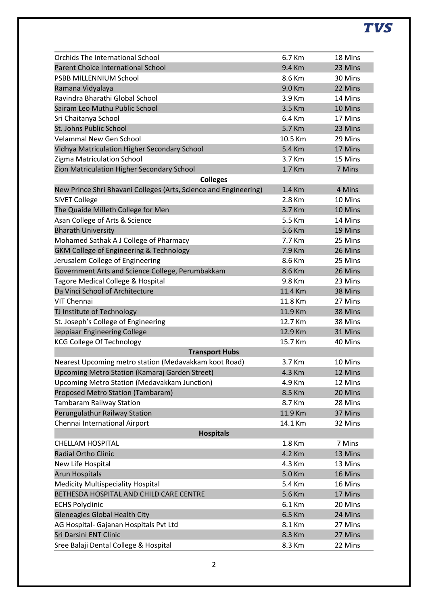# **TVS**

| <b>Orchids The International School</b>                          | 6.7 Km  | 18 Mins |
|------------------------------------------------------------------|---------|---------|
| <b>Parent Choice International School</b>                        | 9.4 Km  | 23 Mins |
| PSBB MILLENNIUM School                                           | 8.6 Km  | 30 Mins |
| Ramana Vidyalaya                                                 | 9.0 Km  | 22 Mins |
| Ravindra Bharathi Global School                                  | 3.9 Km  | 14 Mins |
| Sairam Leo Muthu Public School                                   | 3.5 Km  | 10 Mins |
| Sri Chaitanya School                                             | 6.4 Km  | 17 Mins |
| St. Johns Public School                                          | 5.7 Km  | 23 Mins |
| <b>Velammal New Gen School</b>                                   | 10.5 Km | 29 Mins |
| Vidhya Matriculation Higher Secondary School                     | 5.4 Km  | 17 Mins |
| Zigma Matriculation School                                       | 3.7 Km  | 15 Mins |
| Zion Matriculation Higher Secondary School                       | 1.7 Km  | 7 Mins  |
| <b>Colleges</b>                                                  |         |         |
| New Prince Shri Bhavani Colleges (Arts, Science and Engineering) | 1.4 Km  | 4 Mins  |
| <b>SIVET College</b>                                             | 2.8 Km  | 10 Mins |
| The Quaide Milleth College for Men                               | 3.7 Km  | 10 Mins |
| Asan College of Arts & Science                                   | 5.5 Km  | 14 Mins |
| <b>Bharath University</b>                                        | 5.6 Km  | 19 Mins |
| Mohamed Sathak A J College of Pharmacy                           | 7.7 Km  | 25 Mins |
| <b>GKM College of Engineering &amp; Technology</b>               | 7.9 Km  | 26 Mins |
| Jerusalem College of Engineering                                 | 8.6 Km  | 25 Mins |
| Government Arts and Science College, Perumbakkam                 | 8.6 Km  | 26 Mins |
| Tagore Medical College & Hospital                                | 9.8 Km  | 23 Mins |
| Da Vinci School of Architecture                                  | 11.4 Km | 38 Mins |
| VIT Chennai                                                      | 11.8 Km | 27 Mins |
| TJ Institute of Technology                                       | 11.9 Km | 38 Mins |
|                                                                  | 12.7 Km | 38 Mins |
| St. Joseph's College of Engineering                              | 12.9 Km | 31 Mins |
| Jeppiaar Engineering College<br><b>KCG College Of Technology</b> | 15.7 Km | 40 Mins |
|                                                                  |         |         |
| <b>Transport Hubs</b>                                            | 3.7 Km  | 10 Mins |
| Nearest Upcoming metro station (Medavakkam koot Road)            |         |         |
| Upcoming Metro Station (Kamaraj Garden Street)                   | 4.3 Km  | 12 Mins |
| Upcoming Metro Station (Medavakkam Junction)                     | 4.9 Km  | 12 Mins |
| Proposed Metro Station (Tambaram)                                | 8.5 Km  | 20 Mins |
| <b>Tambaram Railway Station</b>                                  | 8.7 Km  | 28 Mins |
| Perungulathur Railway Station                                    | 11.9 Km | 37 Mins |
| Chennai International Airport                                    | 14.1 Km | 32 Mins |
| <b>Hospitals</b>                                                 |         |         |
| <b>CHELLAM HOSPITAL</b>                                          | 1.8 Km  | 7 Mins  |
| <b>Radial Ortho Clinic</b>                                       | 4.2 Km  | 13 Mins |
| New Life Hospital                                                | 4.3 Km  | 13 Mins |
| <b>Arun Hospitals</b>                                            | 5.0 Km  | 16 Mins |
| <b>Medicity Multispeciality Hospital</b>                         | 5.4 Km  | 16 Mins |
| BETHESDA HOSPITAL AND CHILD CARE CENTRE                          | 5.6 Km  | 17 Mins |
| <b>ECHS Polyclinic</b>                                           | 6.1 Km  | 20 Mins |
| <b>Gleneagles Global Health City</b>                             | 6.5 Km  | 24 Mins |
| AG Hospital- Gajanan Hospitals Pvt Ltd                           | 8.1 Km  | 27 Mins |
| Sri Darsini ENT Clinic                                           | 8.3 Km  | 27 Mins |
| Sree Balaji Dental College & Hospital                            | 8.3 Km  | 22 Mins |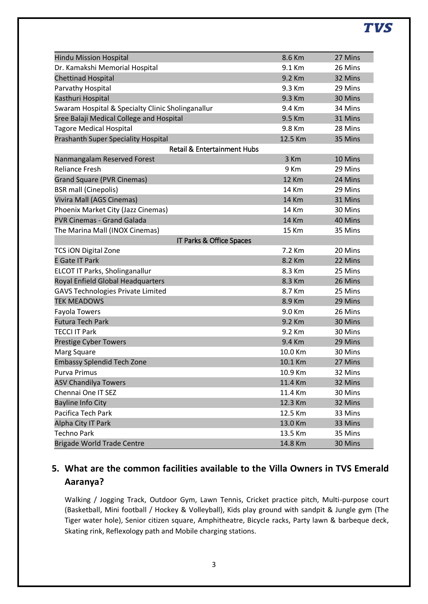# **TVS**

| <b>Hindu Mission Hospital</b>                     | 8.6 Km       | 27 Mins |
|---------------------------------------------------|--------------|---------|
| Dr. Kamakshi Memorial Hospital                    | 9.1 Km       | 26 Mins |
| <b>Chettinad Hospital</b>                         | 9.2 Km       | 32 Mins |
| Parvathy Hospital                                 | 9.3 Km       | 29 Mins |
| Kasthuri Hospital                                 | 9.3 Km       | 30 Mins |
| Swaram Hospital & Specialty Clinic Sholinganallur | 9.4 Km       | 34 Mins |
| Sree Balaji Medical College and Hospital          | 9.5 Km       | 31 Mins |
| <b>Tagore Medical Hospital</b>                    | 9.8 Km       | 28 Mins |
| <b>Prashanth Super Speciality Hospital</b>        | 12.5 Km      | 35 Mins |
| <b>Retail &amp; Entertainment Hubs</b>            |              |         |
| Nanmangalam Reserved Forest                       | 3 Km         | 10 Mins |
| <b>Reliance Fresh</b>                             | 9 Km         | 29 Mins |
| <b>Grand Square (PVR Cinemas)</b>                 | <b>12 Km</b> | 24 Mins |
| <b>BSR</b> mall (Cinepolis)                       | 14 Km        | 29 Mins |
| Vivira Mall (AGS Cinemas)                         | <b>14 Km</b> | 31 Mins |
| Phoenix Market City (Jazz Cinemas)                | 14 Km        | 30 Mins |
| <b>PVR Cinemas - Grand Galada</b>                 | <b>14 Km</b> | 40 Mins |
| The Marina Mall (INOX Cinemas)                    | 15 Km        | 35 Mins |
| IT Parks & Office Spaces                          |              |         |
| <b>TCS ION Digital Zone</b>                       | 7.2 Km       | 20 Mins |
| <b>E Gate IT Park</b>                             | 8.2 Km       | 22 Mins |
| ELCOT IT Parks, Sholinganallur                    | 8.3 Km       | 25 Mins |
| Royal Enfield Global Headquarters                 | 8.3 Km       | 26 Mins |
| <b>GAVS Technologies Private Limited</b>          | 8.7 Km       | 25 Mins |
| <b>TEK MEADOWS</b>                                | 8.9 Km       | 29 Mins |
| <b>Fayola Towers</b>                              | 9.0 Km       | 26 Mins |
| <b>Futura Tech Park</b>                           | 9.2 Km       | 30 Mins |
| <b>TECCI IT Park</b>                              | 9.2 Km       | 30 Mins |
| <b>Prestige Cyber Towers</b>                      | 9.4 Km       | 29 Mins |
| Marg Square                                       | 10.0 Km      | 30 Mins |
| <b>Embassy Splendid Tech Zone</b>                 | 10.1 Km      | 27 Mins |
| Purva Primus                                      | 10.9 Km      | 32 Mins |
| <b>ASV Chandilya Towers</b>                       | 11.4 Km      | 32 Mins |
| Chennai One IT SEZ                                | 11.4 Km      | 30 Mins |
| <b>Bayline Info City</b>                          | 12.3 Km      | 32 Mins |
| Pacifica Tech Park                                | 12.5 Km      | 33 Mins |
| Alpha City IT Park                                | 13.0 Km      | 33 Mins |
| <b>Techno Park</b>                                | 13.5 Km      | 35 Mins |
| <b>Brigade World Trade Centre</b>                 | 14.8 Km      | 30 Mins |

# **5. What are the common facilities available to the Villa Owners in TVS Emerald Aaranya?**

Walking / Jogging Track, Outdoor Gym, Lawn Tennis, Cricket practice pitch, Multi-purpose court (Basketball, Mini football / Hockey & Volleyball), Kids play ground with sandpit & Jungle gym (The Tiger water hole), Senior citizen square, Amphitheatre, Bicycle racks, Party lawn & barbeque deck, Skating rink, Reflexology path and Mobile charging stations.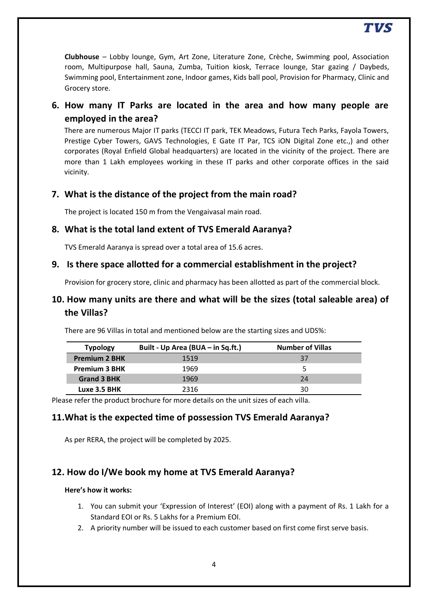# TVS

**Clubhouse** – Lobby lounge, Gym, Art Zone, Literature Zone, Crèche, Swimming pool, Association room, Multipurpose hall, Sauna, Zumba, Tuition kiosk, Terrace lounge, Star gazing / Daybeds, Swimming pool, Entertainment zone, Indoor games, Kids ball pool, Provision for Pharmacy, Clinic and Grocery store.

# **6. How many IT Parks are located in the area and how many people are employed in the area?**

There are numerous Major IT parks (TECCI IT park, TEK Meadows, Futura Tech Parks, Fayola Towers, Prestige Cyber Towers, GAVS Technologies, E Gate IT Par, TCS iON Digital Zone etc.,) and other corporates (Royal Enfield Global headquarters) are located in the vicinity of the project. There are more than 1 Lakh employees working in these IT parks and other corporate offices in the said vicinity.

### **7. What is the distance of the project from the main road?**

The project is located 150 m from the Vengaivasal main road.

#### **8. What is the total land extent of TVS Emerald Aaranya?**

TVS Emerald Aaranya is spread over a total area of 15.6 acres.

#### **9. Is there space allotted for a commercial establishment in the project?**

Provision for grocery store, clinic and pharmacy has been allotted as part of the commercial block.

### **10. How many units are there and what will be the sizes (total saleable area) of the Villas?**

There are 96 Villas in total and mentioned below are the starting sizes and UDS%:

| <b>Typology</b>      | Built - Up Area (BUA - in Sq.ft.) | <b>Number of Villas</b> |  |
|----------------------|-----------------------------------|-------------------------|--|
| <b>Premium 2 BHK</b> | 1519                              | 37                      |  |
| <b>Premium 3 BHK</b> | 1969                              |                         |  |
| <b>Grand 3 BHK</b>   | 1969                              | 24                      |  |
| Luxe 3.5 BHK         | 2316                              | 30                      |  |

Please refer the product brochure for more details on the unit sizes of each villa.

#### **11.What is the expected time of possession TVS Emerald Aaranya?**

As per RERA, the project will be completed by 2025.

#### **12. How do I/We book my home at TVS Emerald Aaranya?**

#### **Here's how it works:**

- 1. You can submit your 'Expression of Interest' (EOI) along with a payment of Rs. 1 Lakh for a Standard EOI or Rs. 5 Lakhs for a Premium EOI.
- 2. A priority number will be issued to each customer based on first come first serve basis.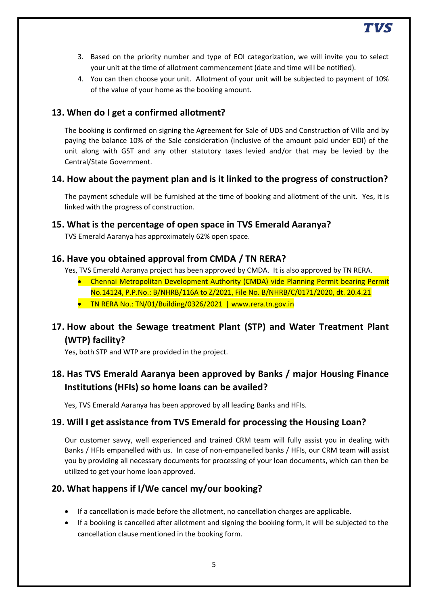3. Based on the priority number and type of EOI categorization, we will invite you to select your unit at the time of allotment commencement (date and time will be notified).

TVS

4. You can then choose your unit. Allotment of your unit will be subjected to payment of 10% of the value of your home as the booking amount.

### **13. When do I get a confirmed allotment?**

The booking is confirmed on signing the Agreement for Sale of UDS and Construction of Villa and by paying the balance 10% of the Sale consideration (inclusive of the amount paid under EOI) of the unit along with GST and any other statutory taxes levied and/or that may be levied by the Central/State Government.

#### **14. How about the payment plan and is it linked to the progress of construction?**

The payment schedule will be furnished at the time of booking and allotment of the unit. Yes, it is linked with the progress of construction.

#### **15. What is the percentage of open space in TVS Emerald Aaranya?**

TVS Emerald Aaranya has approximately 62% open space.

#### **16. Have you obtained approval from CMDA / TN RERA?**

Yes, TVS Emerald Aaranya project has been approved by CMDA. It is also approved by TN RERA.

- Chennai Metropolitan Development Authority (CMDA) vide Planning Permit bearing Permit No.14124, P.P.No.: B/NHRB/116A to Z/2021, File No. B/NHRB/C/0171/2020, dt. 20.4.21
- TN RERA No.: TN/01/Building/0326/2021 | www.rera.tn.gov.in

# **17. How about the Sewage treatment Plant (STP) and Water Treatment Plant (WTP) facility?**

Yes, both STP and WTP are provided in the project.

# **18. Has TVS Emerald Aaranya been approved by Banks / major Housing Finance Institutions (HFIs) so home loans can be availed?**

Yes, TVS Emerald Aaranya has been approved by all leading Banks and HFIs.

#### **19. Will I get assistance from TVS Emerald for processing the Housing Loan?**

Our customer savvy, well experienced and trained CRM team will fully assist you in dealing with Banks / HFIs empanelled with us. In case of non-empanelled banks / HFIs, our CRM team will assist you by providing all necessary documents for processing of your loan documents, which can then be utilized to get your home loan approved.

#### **20. What happens if I/We cancel my/our booking?**

- If a cancellation is made before the allotment, no cancellation charges are applicable.
- If a booking is cancelled after allotment and signing the booking form, it will be subjected to the cancellation clause mentioned in the booking form.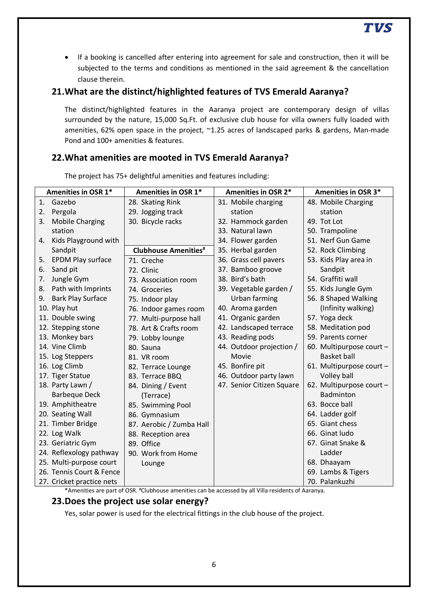If a booking is cancelled after entering into agreement for sale and construction, then it will be subjected to the terms and conditions as mentioned in the said agreement & the cancellation clause therein.

#### **21.What are the distinct/highlighted features of TVS Emerald Aaranya?**

The distinct/highlighted features in the Aaranya project are contemporary design of villas surrounded by the nature, 15,000 Sq.Ft. of exclusive club house for villa owners fully loaded with amenities, 62% open space in the project, ~1.25 acres of landscaped parks & gardens, Man-made Pond and 100+ amenities & features.

## **22.What amenities are mooted in TVS Emerald Aaranya?**

|    | Amenities in OSR 1*       | Amenities in OSR 1*          | Amenities in OSR 2*       | <b>Amenities in OSR 3*</b> |
|----|---------------------------|------------------------------|---------------------------|----------------------------|
| 1. | Gazebo                    | 28. Skating Rink             | 31. Mobile charging       | 48. Mobile Charging        |
| 2. | Pergola                   | 29. Jogging track            | station                   | station                    |
| 3. | <b>Mobile Charging</b>    | 30. Bicycle racks            | 32. Hammock garden        | 49. Tot Lot                |
|    | station                   |                              | 33. Natural lawn          | 50. Trampoline             |
| 4. | Kids Playground with      |                              | 34. Flower garden         | 51. Nerf Gun Game          |
|    | Sandpit                   | <b>Clubhouse Amenities</b> # | 35. Herbal garden         | 52. Rock Climbing          |
| 5. | <b>EPDM Play surface</b>  | 71. Creche                   | 36. Grass cell pavers     | 53. Kids Play area in      |
| 6. | Sand pit                  | 72. Clinic                   | 37. Bamboo groove         | Sandpit                    |
| 7. | Jungle Gym                | 73. Association room         | 38. Bird's bath           | 54. Graffiti wall          |
| 8. | Path with Imprints        | 74. Groceries                | 39. Vegetable garden /    | 55. Kids Jungle Gym        |
| 9. | <b>Bark Play Surface</b>  | 75. Indoor play              | Urban farming             | 56. 8 Shaped Walking       |
|    | 10. Play hut              | 76. Indoor games room        | 40. Aroma garden          | (Infinity walking)         |
|    | 11. Double swing          | 77. Multi-purpose hall       | 41. Organic garden        | 57. Yoga deck              |
|    | 12. Stepping stone        | 78. Art & Crafts room        | 42. Landscaped terrace    | 58. Meditation pod         |
|    | 13. Monkey bars           | 79. Lobby lounge             | 43. Reading pods          | 59. Parents corner         |
|    | 14. Vine Climb            | 80. Sauna                    | 44. Outdoor projection /  | 60. Multipurpose court -   |
|    | 15. Log Steppers          | 81. VR room                  | Movie                     | <b>Basket ball</b>         |
|    | 16. Log Climb             | 82. Terrace Lounge           | 45. Bonfire pit           | 61. Multipurpose court -   |
|    | 17. Tiger Statue          | 83. Terrace BBQ              | 46. Outdoor party lawn    | Volley ball                |
|    | 18. Party Lawn /          | 84. Dining / Event           | 47. Senior Citizen Square | 62. Multipurpose court -   |
|    | <b>Barbeque Deck</b>      | (Terrace)                    |                           | Badminton                  |
|    | 19. Amphitheatre          | 85. Swimming Pool            |                           | 63. Bocce ball             |
|    | 20. Seating Wall          | 86. Gymnasium                |                           | 64. Ladder golf            |
|    | 21. Timber Bridge         | 87. Aerobic / Zumba Hall     |                           | 65. Giant chess            |
|    | 22. Log Walk              | 88. Reception area           |                           | 66. Ginat ludo             |
|    | 23. Geriatric Gym         | 89. Office                   |                           | 67. Ginat Snake &          |
|    | 24. Reflexology pathway   | 90. Work from Home           |                           | Ladder                     |
|    | 25. Multi-purpose court   | Lounge                       |                           | 68. Dhaayam                |
|    | 26. Tennis Court & Fence  |                              |                           | 69. Lambs & Tigers         |
|    | 27. Cricket practice nets |                              |                           | 70. Palankuzhi             |

The project has 75+ delightful amenities and features including:

\*Amenities are part of OSR. #Clubhouse amenities can be accessed by all Villa residents of Aaranya.

#### **23.Does the project use solar energy?**

Yes, solar power is used for the electrical fittings in the club house of the project.